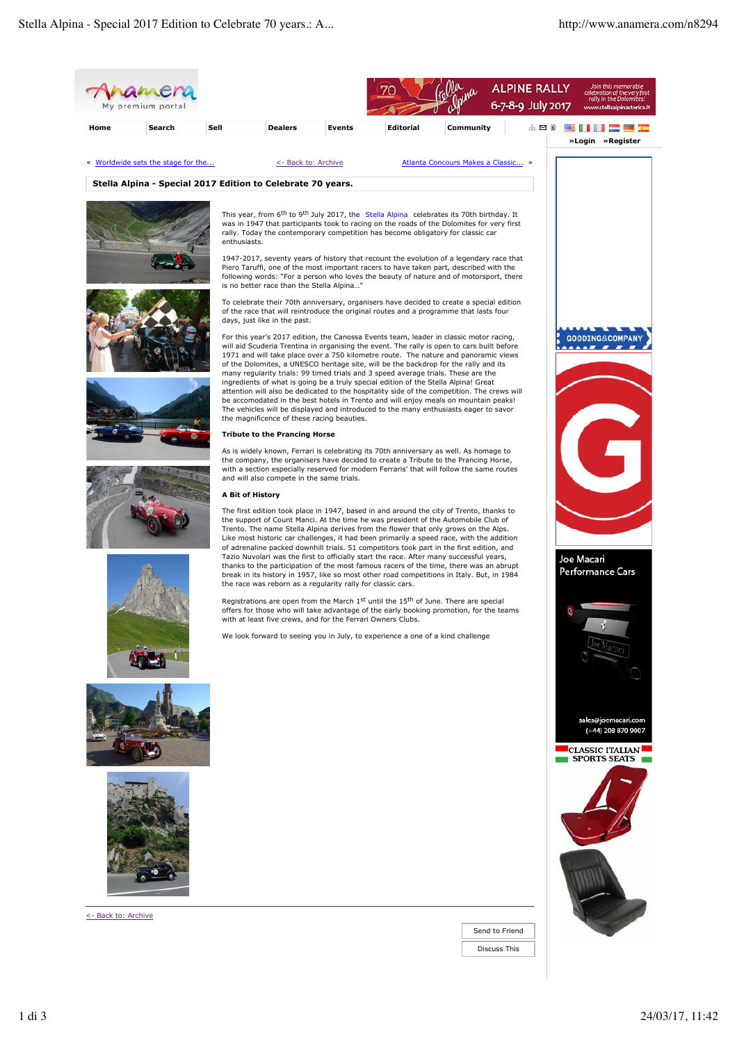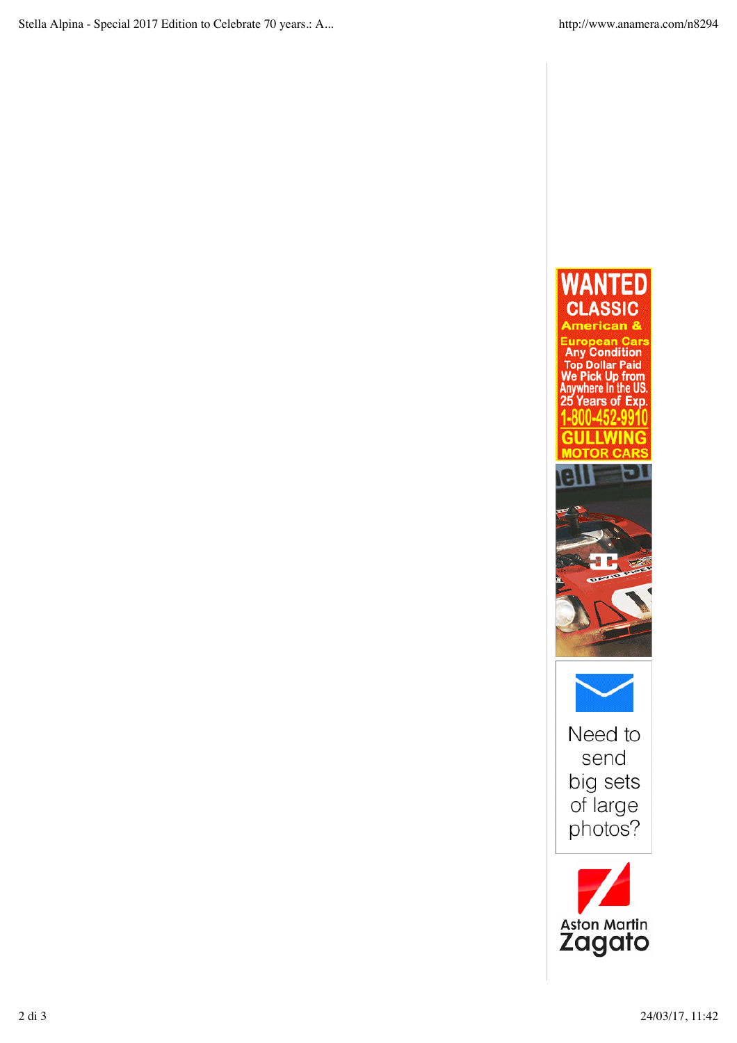